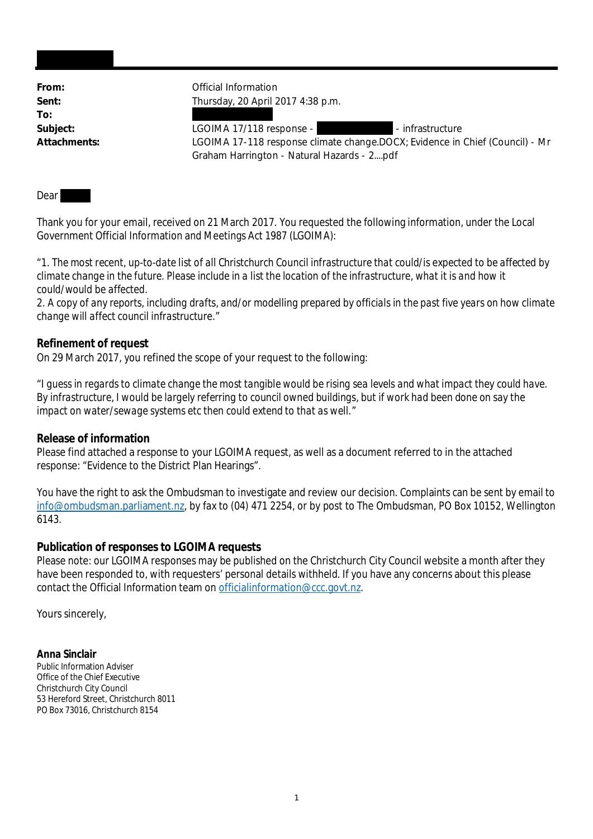**To:**

From: **From:** Official Information **Sent:** Thursday, 20 April 2017 4:38 p.m.

Subject: LGOIMA 17/118 response - - infrastructure **Attachments:** LGOIMA 17-118 response climate change.DOCX; Evidence in Chief (Council) - Mr Graham Harrington - Natural Hazards - 2....pdf

Dear

Thank you for your email, received on 21 March 2017. You requested the following information, under the Local Government Official Information and Meetings Act 1987 (LGOIMA):

"*1. The most recent, up-to-date list of all Christchurch Council infrastructure that could/is expected to be affected by climate change in the future. Please include in a list the location of the infrastructure, what it is and how it could/would be affected.*

*2. A copy of any reports, including drafts, and/or modelling prepared by officials in the past five years on how climate change will affect council infrastructure.*"

**Refinement of request**

On 29 March 2017, you refined the scope of your request to the following:

"*I guess in regards to climate change the most tangible would be rising sea levels and what impact they could have. By infrastructure, I would be largely referring to council owned buildings, but if work had been done on say the impact on water/sewage systems etc then could extend to that as well.*"

**Release of information**

Please find attached a response to your LGOIMA request, as well as a document referred to in the attached response: "Evidence to the District Plan Hearings".

You have the right to ask the Ombudsman to investigate and review our decision. Complaints can be sent by email to info@ombudsman.parliament.nz, by fax to (04) 471 2254, or by post to The Ombudsman, PO Box 10152, Wellington 6143.

**Publication of responses to LGOIMA requests**

Please note: our LGOIMA responses may be published on the Christchurch City Council website a month after they have been responded to, with requesters' personal details withheld. If you have any concerns about this please contact the Official Information team on officialinformation@ccc.govt.nz.

Yours sincerely,

**Anna Sinclair** Public Information Adviser Office of the Chief Executive Christchurch City Council 53 Hereford Street, Christchurch 8011 PO Box 73016, Christchurch 8154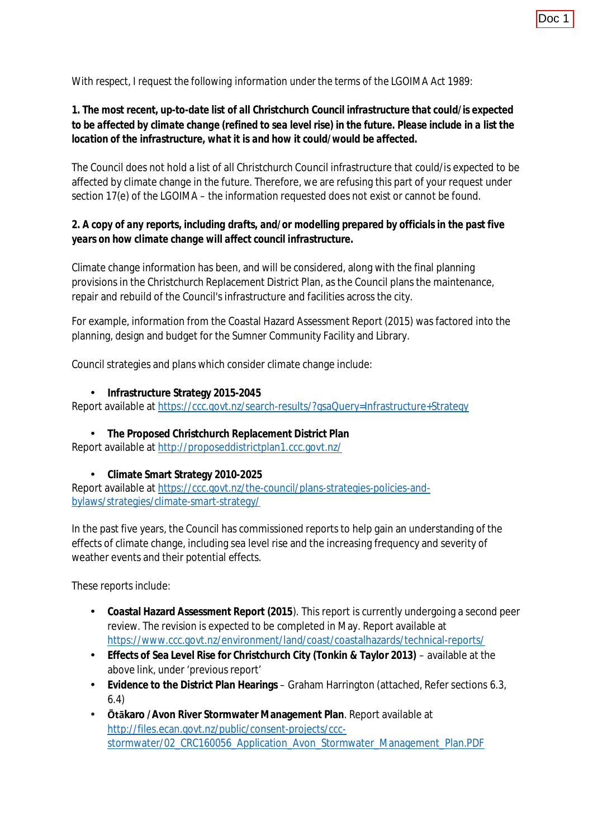*With respect, I request the following information under the terms of the LGOIMA Act 1989:*

*1. The most recent, up-to-date list of all Christchurch Council infrastructure that could/is expected to be affected by climate change (refined to sea level rise) in the future. Please include in a list the location of the infrastructure, what it is and how it could/would be affected.*

The Council does not hold a list of all Christchurch Council infrastructure that could/is expected to be affected by climate change in the future. Therefore, we are refusing this part of your request under section 17(e) of the LGOIMA – the information requested does not exist or cannot be found.

*2. A copy of any reports, including drafts, and/or modelling prepared by officials in the past five years on how climate change will affect council infrastructure.*

Climate change information has been, and will be considered, along with the final planning provisions in the Christchurch Replacement District Plan, as the Council plans the maintenance, repair and rebuild of the Council's infrastructure and facilities across the city.

For example, information from the Coastal Hazard Assessment Report (2015) was factored into the planning, design and budget for the Sumner Community Facility and Library.

Council strategies and plans which consider climate change include:

 $\mathbf{r}$ **Infrastructure Strategy 2015-2045**

Report available at <https://ccc.govt.nz/search-results/?gsaQuery=Infrastructure+Strategy>

**The Proposed Christchurch Replacement District Plan** Report available at <http://proposeddistrictplan1.ccc.govt.nz/>

**Climate Smart Strategy 2010-2025** Report available at [https://ccc.govt.nz/the-council/plans-strategies-policies-and](https://ccc.govt.nz/the-council/plans-strategies-policies-and-bylaws/strategies/climate-smart-strategy/)[bylaws/strategies/climate-smart-strategy/](https://ccc.govt.nz/the-council/plans-strategies-policies-and-bylaws/strategies/climate-smart-strategy/)

In the past five years, the Council has commissioned reports to help gain an understanding of the effects of climate change, including sea level rise and the increasing frequency and severity of weather events and their potential effects.

These reports include:

- **Coastal Hazard Assessment Report (2015**). This report is currently undergoing a second peer  $\mathcal{L}^{\text{max}}$ review. The revision is expected to be completed in May. Report available at <https://www.ccc.govt.nz/environment/land/coast/coastalhazards/technical-reports/>
- **Effects of Sea Level Rise for Christchurch City (Tonkin & Taylor 2013)** available at the  $\mathcal{L}^{\text{max}}$ above link, under 'previous report'
- $\mathcal{L}^{\text{max}}$ **Evidence to the District Plan Hearings** – Graham Harrington (attached, Refer sections 6.3, 6.4)
- **Ōtākaro /Avon River Stormwater Management Plan**. Report available at http://files.ecan.govt.nz/public/consent-projects/cccstormwater/02\_CRC160056\_Application\_Avon\_Stormwater\_Management\_Plan.PDF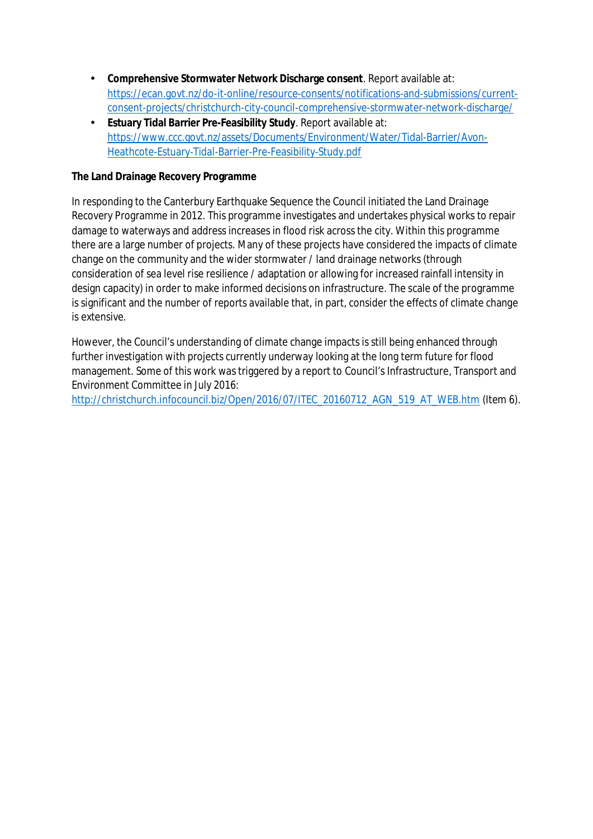- Ÿ, **Comprehensive Stormwater Network Discharge consent**. Report available at: [https://ecan.govt.nz/do-it-online/resource-consents/notifications-and-submissions/current](https://ecan.govt.nz/do-it-online/resource-consents/notifications-and-submissions/current-consent-projects/christchurch-city-council-comprehensive-stormwater-network-discharge/)[consent-projects/christchurch-city-council-comprehensive-stormwater-network-discharge/](https://ecan.govt.nz/do-it-online/resource-consents/notifications-and-submissions/current-consent-projects/christchurch-city-council-comprehensive-stormwater-network-discharge/)
- **Estuary Tidal Barrier Pre-Feasibility Study**. Report available at: [https://www.ccc.govt.nz/assets/Documents/Environment/Water/Tidal-Barrier/Avon-](https://www.ccc.govt.nz/assets/Documents/Environment/Water/Tidal-Barrier/Avon-Heathcote-Estuary-Tidal-Barrier-Pre-Feasibility-Study.pdf)[Heathcote-Estuary-Tidal-Barrier-Pre-Feasibility-Study.pdf](https://www.ccc.govt.nz/assets/Documents/Environment/Water/Tidal-Barrier/Avon-Heathcote-Estuary-Tidal-Barrier-Pre-Feasibility-Study.pdf)

# **The Land Drainage Recovery Programme**

In responding to the Canterbury Earthquake Sequence the Council initiated the Land Drainage Recovery Programme in 2012. This programme investigates and undertakes physical works to repair damage to waterways and address increases in flood risk across the city. Within this programme there are a large number of projects. Many of these projects have considered the impacts of climate change on the community and the wider stormwater / land drainage networks (through consideration of sea level rise resilience / adaptation or allowing for increased rainfall intensity in design capacity) in order to make informed decisions on infrastructure. The scale of the programme is significant and the number of reports available that, in part, consider the effects of climate change is extensive.

However, the Council's understanding of climate change impacts is still being enhanced through further investigation with projects currently underway looking at the long term future for flood management. Some of this work was triggered by a report to Council's Infrastructure, Transport and Environment Committee in July 2016:

http://christchurch.infocouncil.biz/Open/2016/07/ITEC\_20160712\_AGN\_519\_AT\_WEB.htm (Item 6).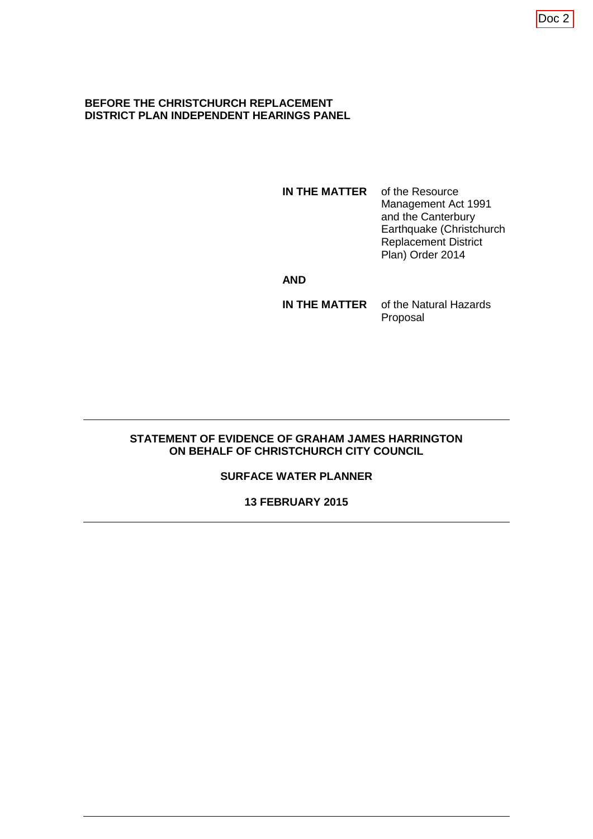#### **BEFORE THE CHRISTCHURCH REPLACEMENT DISTRICT PLAN INDEPENDENT HEARINGS PANEL**

**IN THE MATTER** of the Resource Management Act 1991 and the Canterbury Earthquake (Christchurch Replacement District Plan) Order 2014

#### **AND**

**IN THE MATTER** of the Natural Hazards Proposal

### **STATEMENT OF EVIDENCE OF GRAHAM JAMES HARRINGTON ON BEHALF OF CHRISTCHURCH CITY COUNCIL**

## **SURFACE WATER PLANNER**

#### **13 FEBRUARY 2015**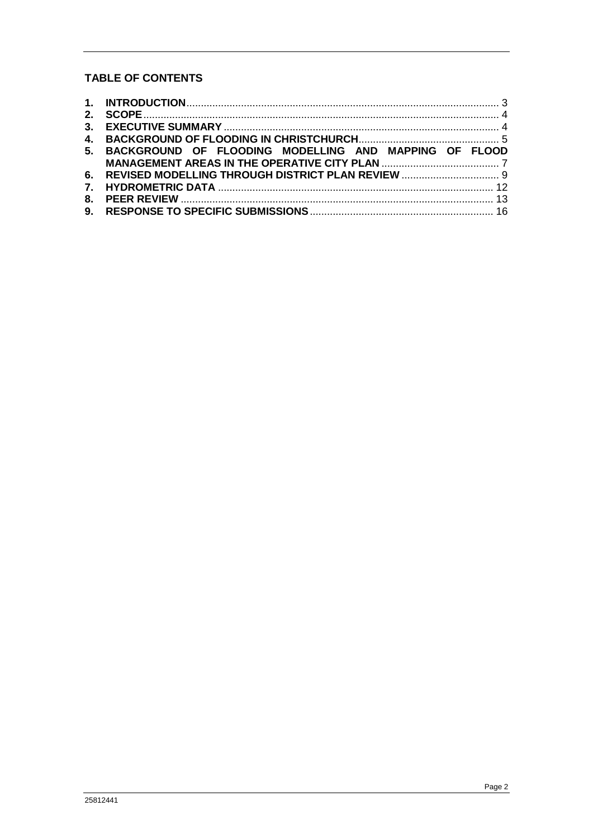# **TABLE OF CONTENTS**

| 5. BACKGROUND OF FLOODING MODELLING AND MAPPING OF FLOOD |  |
|----------------------------------------------------------|--|
|                                                          |  |
|                                                          |  |
|                                                          |  |
|                                                          |  |
|                                                          |  |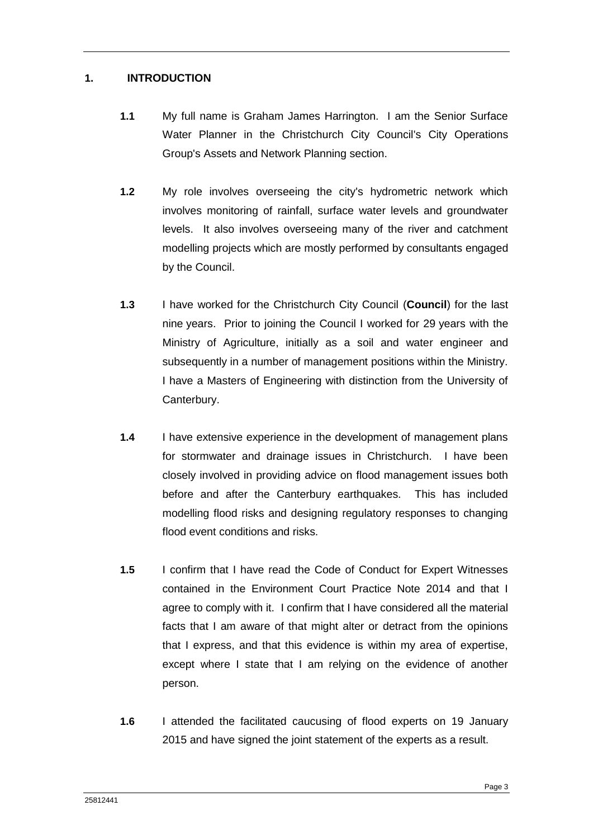## <span id="page-5-0"></span>**1. INTRODUCTION**

- **1.1** My full name is Graham James Harrington. I am the Senior Surface Water Planner in the Christchurch City Council's City Operations Group's Assets and Network Planning section.
- **1.2** My role involves overseeing the city's hydrometric network which involves monitoring of rainfall, surface water levels and groundwater levels. It also involves overseeing many of the river and catchment modelling projects which are mostly performed by consultants engaged by the Council.
- **1.3** I have worked for the Christchurch City Council (**Council**) for the last nine years. Prior to joining the Council I worked for 29 years with the Ministry of Agriculture, initially as a soil and water engineer and subsequently in a number of management positions within the Ministry. I have a Masters of Engineering with distinction from the University of Canterbury.
- **1.4** I have extensive experience in the development of management plans for stormwater and drainage issues in Christchurch. I have been closely involved in providing advice on flood management issues both before and after the Canterbury earthquakes. This has included modelling flood risks and designing regulatory responses to changing flood event conditions and risks.
- **1.5** I confirm that I have read the Code of Conduct for Expert Witnesses contained in the Environment Court Practice Note 2014 and that I agree to comply with it. I confirm that I have considered all the material facts that I am aware of that might alter or detract from the opinions that I express, and that this evidence is within my area of expertise, except where I state that I am relying on the evidence of another person.
- **1.6** I attended the facilitated caucusing of flood experts on 19 January 2015 and have signed the joint statement of the experts as a result.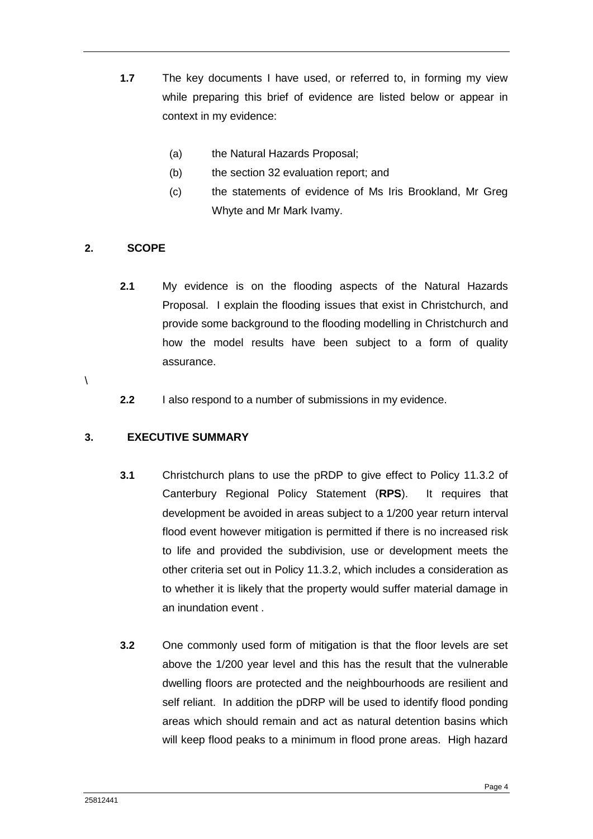- **1.7** The key documents I have used, or referred to, in forming my view while preparing this brief of evidence are listed below or appear in context in my evidence:
	- (a) the Natural Hazards Proposal;
	- (b) the section 32 evaluation report; and
	- (c) the statements of evidence of Ms Iris Brookland, Mr Greg Whyte and Mr Mark Ivamy.

# <span id="page-6-0"></span>**2. SCOPE**

- **2.1** My evidence is on the flooding aspects of the Natural Hazards Proposal. I explain the flooding issues that exist in Christchurch, and provide some background to the flooding modelling in Christchurch and how the model results have been subject to a form of quality assurance.
- $\lambda$
- **2.2** I also respond to a number of submissions in my evidence.

# <span id="page-6-1"></span>**3. EXECUTIVE SUMMARY**

- **3.1** Christchurch plans to use the pRDP to give effect to Policy 11.3.2 of Canterbury Regional Policy Statement (**RPS**). It requires that development be avoided in areas subject to a 1/200 year return interval flood event however mitigation is permitted if there is no increased risk to life and provided the subdivision, use or development meets the other criteria set out in Policy 11.3.2, which includes a consideration as to whether it is likely that the property would suffer material damage in an inundation event
- **3.2** One commonly used form of mitigation is that the floor levels are set above the 1/200 year level and this has the result that the vulnerable dwelling floors are protected and the neighbourhoods are resilient and self reliant. In addition the pDRP will be used to identify flood ponding areas which should remain and act as natural detention basins which will keep flood peaks to a minimum in flood prone areas. High hazard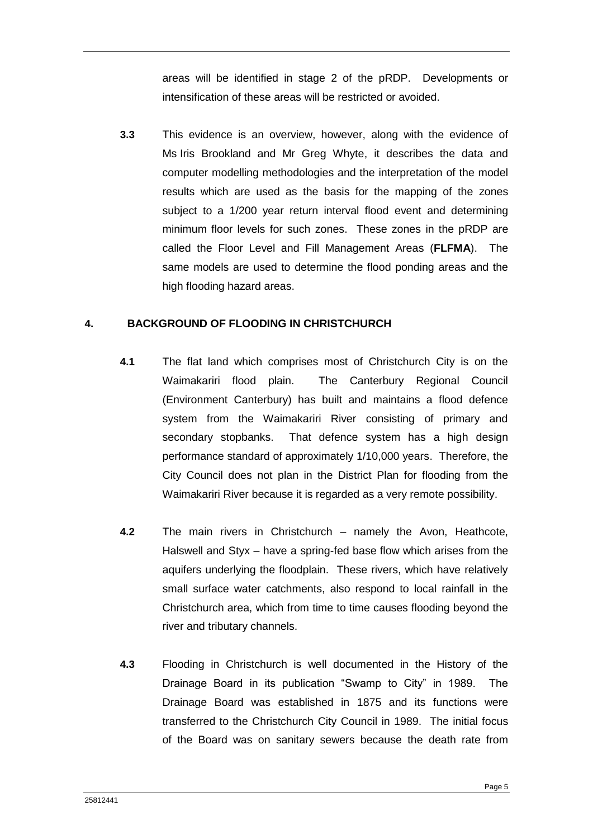areas will be identified in stage 2 of the pRDP. Developments or intensification of these areas will be restricted or avoided.

**3.3** This evidence is an overview, however, along with the evidence of Ms Iris Brookland and Mr Greg Whyte, it describes the data and computer modelling methodologies and the interpretation of the model results which are used as the basis for the mapping of the zones subject to a 1/200 year return interval flood event and determining minimum floor levels for such zones. These zones in the pRDP are called the Floor Level and Fill Management Areas (**FLFMA**). The same models are used to determine the flood ponding areas and the high flooding hazard areas.

## <span id="page-7-0"></span>**4. BACKGROUND OF FLOODING IN CHRISTCHURCH**

- **4.1** The flat land which comprises most of Christchurch City is on the Waimakariri flood plain. The Canterbury Regional Council (Environment Canterbury) has built and maintains a flood defence system from the Waimakariri River consisting of primary and secondary stopbanks. That defence system has a high design performance standard of approximately 1/10,000 years. Therefore, the City Council does not plan in the District Plan for flooding from the Waimakariri River because it is regarded as a very remote possibility.
- **4.2** The main rivers in Christchurch namely the Avon, Heathcote, Halswell and Styx – have a spring-fed base flow which arises from the aquifers underlying the floodplain. These rivers, which have relatively small surface water catchments, also respond to local rainfall in the Christchurch area, which from time to time causes flooding beyond the river and tributary channels.
- **4.3** Flooding in Christchurch is well documented in the History of the Drainage Board in its publication "Swamp to City" in 1989. The Drainage Board was established in 1875 and its functions were transferred to the Christchurch City Council in 1989. The initial focus of the Board was on sanitary sewers because the death rate from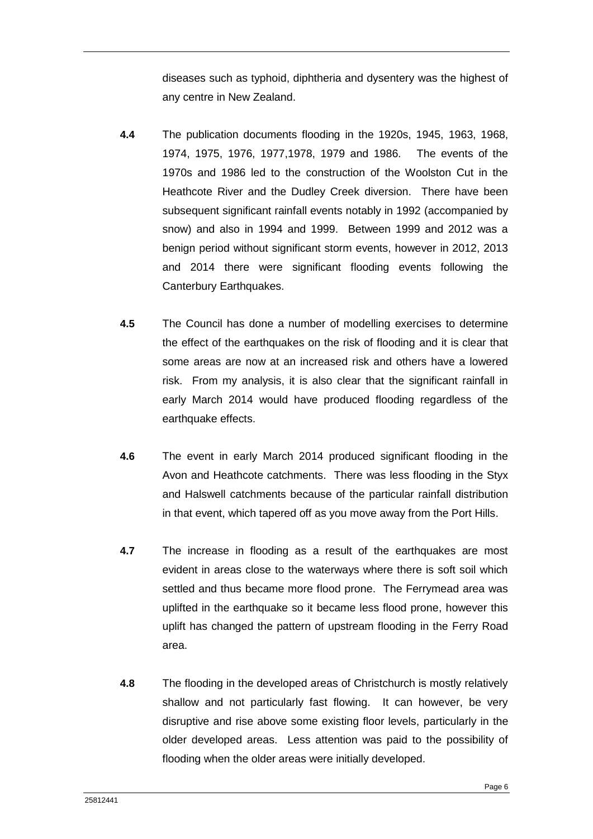diseases such as typhoid, diphtheria and dysentery was the highest of any centre in New Zealand.

- **4.4** The publication documents flooding in the 1920s, 1945, 1963, 1968, 1974, 1975, 1976, 1977,1978, 1979 and 1986. The events of the 1970s and 1986 led to the construction of the Woolston Cut in the Heathcote River and the Dudley Creek diversion. There have been subsequent significant rainfall events notably in 1992 (accompanied by snow) and also in 1994 and 1999. Between 1999 and 2012 was a benign period without significant storm events, however in 2012, 2013 and 2014 there were significant flooding events following the Canterbury Earthquakes.
- **4.5** The Council has done a number of modelling exercises to determine the effect of the earthquakes on the risk of flooding and it is clear that some areas are now at an increased risk and others have a lowered risk. From my analysis, it is also clear that the significant rainfall in early March 2014 would have produced flooding regardless of the earthquake effects.
- **4.6** The event in early March 2014 produced significant flooding in the Avon and Heathcote catchments. There was less flooding in the Styx and Halswell catchments because of the particular rainfall distribution in that event, which tapered off as you move away from the Port Hills.
- **4.7** The increase in flooding as a result of the earthquakes are most evident in areas close to the waterways where there is soft soil which settled and thus became more flood prone. The Ferrymead area was uplifted in the earthquake so it became less flood prone, however this uplift has changed the pattern of upstream flooding in the Ferry Road area.
- **4.8** The flooding in the developed areas of Christchurch is mostly relatively shallow and not particularly fast flowing. It can however, be very disruptive and rise above some existing floor levels, particularly in the older developed areas. Less attention was paid to the possibility of flooding when the older areas were initially developed.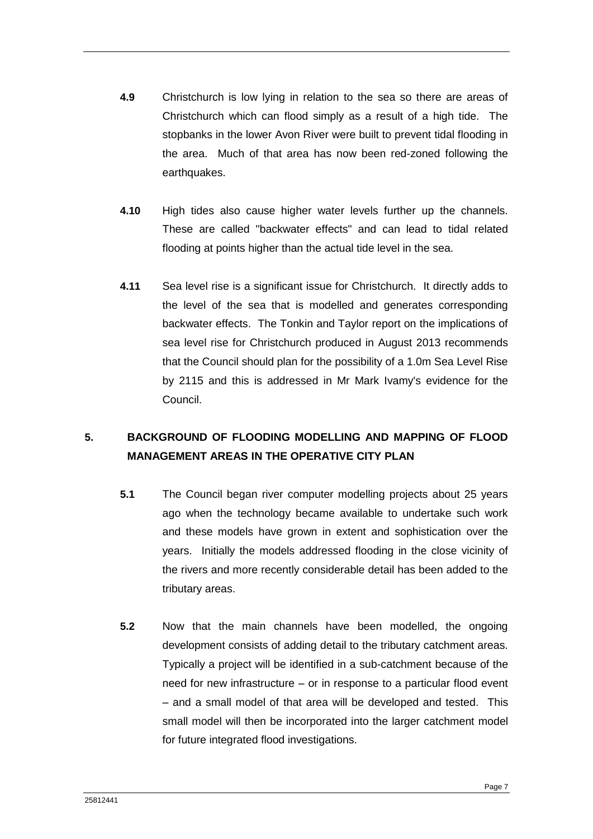- **4.9** Christchurch is low lying in relation to the sea so there are areas of Christchurch which can flood simply as a result of a high tide. The stopbanks in the lower Avon River were built to prevent tidal flooding in the area. Much of that area has now been red-zoned following the earthquakes.
- **4.10** High tides also cause higher water levels further up the channels. These are called "backwater effects" and can lead to tidal related flooding at points higher than the actual tide level in the sea.
- **4.11** Sea level rise is a significant issue for Christchurch. It directly adds to the level of the sea that is modelled and generates corresponding backwater effects. The Tonkin and Taylor report on the implications of sea level rise for Christchurch produced in August 2013 recommends that the Council should plan for the possibility of a 1.0m Sea Level Rise by 2115 and this is addressed in Mr Mark Ivamy's evidence for the Council.

# <span id="page-9-0"></span>**5. BACKGROUND OF FLOODING MODELLING AND MAPPING OF FLOOD MANAGEMENT AREAS IN THE OPERATIVE CITY PLAN**

- **5.1** The Council began river computer modelling projects about 25 years ago when the technology became available to undertake such work and these models have grown in extent and sophistication over the years. Initially the models addressed flooding in the close vicinity of the rivers and more recently considerable detail has been added to the tributary areas.
- **5.2** Now that the main channels have been modelled, the ongoing development consists of adding detail to the tributary catchment areas. Typically a project will be identified in a sub-catchment because of the need for new infrastructure – or in response to a particular flood event – and a small model of that area will be developed and tested. This small model will then be incorporated into the larger catchment model for future integrated flood investigations.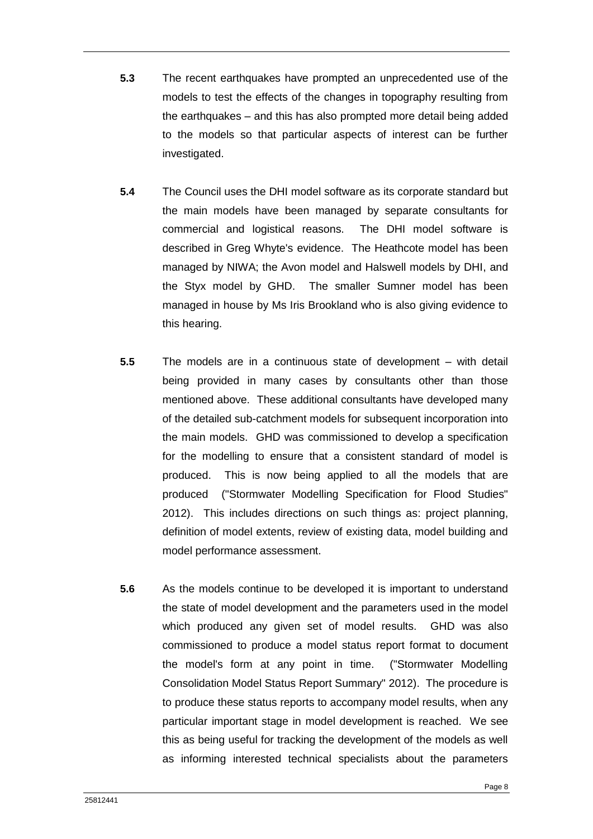- **5.3** The recent earthquakes have prompted an unprecedented use of the models to test the effects of the changes in topography resulting from the earthquakes – and this has also prompted more detail being added to the models so that particular aspects of interest can be further investigated.
- **5.4** The Council uses the DHI model software as its corporate standard but the main models have been managed by separate consultants for commercial and logistical reasons. The DHI model software is described in Greg Whyte's evidence. The Heathcote model has been managed by NIWA; the Avon model and Halswell models by DHI, and the Styx model by GHD. The smaller Sumner model has been managed in house by Ms Iris Brookland who is also giving evidence to this hearing.
- **5.5** The models are in a continuous state of development with detail being provided in many cases by consultants other than those mentioned above. These additional consultants have developed many of the detailed sub-catchment models for subsequent incorporation into the main models. GHD was commissioned to develop a specification for the modelling to ensure that a consistent standard of model is produced. This is now being applied to all the models that are produced ("Stormwater Modelling Specification for Flood Studies" 2012). This includes directions on such things as: project planning, definition of model extents, review of existing data, model building and model performance assessment.
- **5.6** As the models continue to be developed it is important to understand the state of model development and the parameters used in the model which produced any given set of model results. GHD was also commissioned to produce a model status report format to document the model's form at any point in time. ("Stormwater Modelling Consolidation Model Status Report Summary" 2012). The procedure is to produce these status reports to accompany model results, when any particular important stage in model development is reached. We see this as being useful for tracking the development of the models as well as informing interested technical specialists about the parameters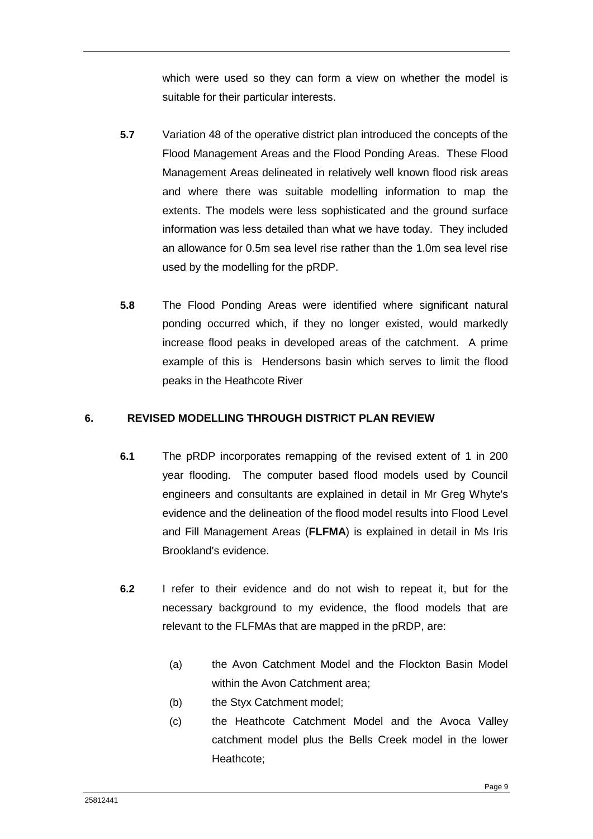which were used so they can form a view on whether the model is suitable for their particular interests.

- **5.7** Variation 48 of the operative district plan introduced the concepts of the Flood Management Areas and the Flood Ponding Areas. These Flood Management Areas delineated in relatively well known flood risk areas and where there was suitable modelling information to map the extents. The models were less sophisticated and the ground surface information was less detailed than what we have today. They included an allowance for 0.5m sea level rise rather than the 1.0m sea level rise used by the modelling for the pRDP.
- **5.8** The Flood Ponding Areas were identified where significant natural ponding occurred which, if they no longer existed, would markedly increase flood peaks in developed areas of the catchment. A prime example of this is Hendersons basin which serves to limit the flood peaks in the Heathcote River

# <span id="page-11-0"></span>**6. REVISED MODELLING THROUGH DISTRICT PLAN REVIEW**

- **6.1** The pRDP incorporates remapping of the revised extent of 1 in 200 year flooding. The computer based flood models used by Council engineers and consultants are explained in detail in Mr Greg Whyte's evidence and the delineation of the flood model results into Flood Level and Fill Management Areas (**FLFMA**) is explained in detail in Ms Iris Brookland's evidence.
- **6.2** I refer to their evidence and do not wish to repeat it, but for the necessary background to my evidence, the flood models that are relevant to the FLFMAs that are mapped in the pRDP, are:
	- (a) the Avon Catchment Model and the Flockton Basin Model within the Avon Catchment area;
	- (b) the Styx Catchment model;
	- (c) the Heathcote Catchment Model and the Avoca Valley catchment model plus the Bells Creek model in the lower Heathcote;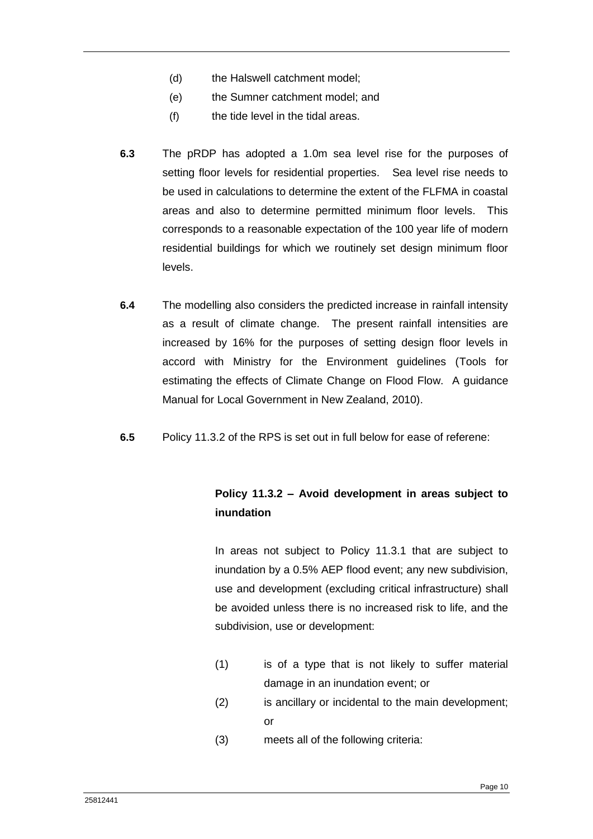- (d) the Halswell catchment model;
- (e) the Sumner catchment model; and
- (f) the tide level in the tidal areas.
- **6.3** The pRDP has adopted a 1.0m sea level rise for the purposes of setting floor levels for residential properties. Sea level rise needs to be used in calculations to determine the extent of the FLFMA in coastal areas and also to determine permitted minimum floor levels. This corresponds to a reasonable expectation of the 100 year life of modern residential buildings for which we routinely set design minimum floor levels.
- **6.4** The modelling also considers the predicted increase in rainfall intensity as a result of climate change. The present rainfall intensities are increased by 16% for the purposes of setting design floor levels in accord with Ministry for the Environment guidelines (Tools for estimating the effects of Climate Change on Flood Flow. A guidance Manual for Local Government in New Zealand, 2010).
- **6.5** Policy 11.3.2 of the RPS is set out in full below for ease of referene:

# **Policy 11.3.2 – Avoid development in areas subject to inundation**

In areas not subject to Policy 11.3.1 that are subject to inundation by a 0.5% AEP flood event; any new subdivision, use and development (excluding critical infrastructure) shall be avoided unless there is no increased risk to life, and the subdivision, use or development:

- (1) is of a type that is not likely to suffer material damage in an inundation event; or
- (2) is ancillary or incidental to the main development; or
- (3) meets all of the following criteria: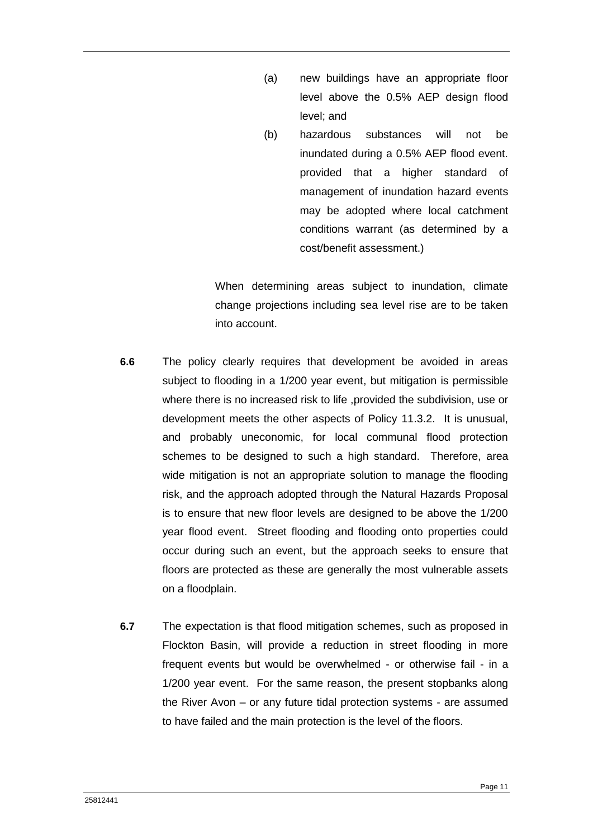- (a) new buildings have an appropriate floor level above the 0.5% AEP design flood level; and
- (b) hazardous substances will not be inundated during a 0.5% AEP flood event. provided that a higher standard of management of inundation hazard events may be adopted where local catchment conditions warrant (as determined by a cost/benefit assessment.)

When determining areas subject to inundation, climate change projections including sea level rise are to be taken into account.

- **6.6** The policy clearly requires that development be avoided in areas subject to flooding in a 1/200 year event, but mitigation is permissible where there is no increased risk to life ,provided the subdivision, use or development meets the other aspects of Policy 11.3.2. It is unusual, and probably uneconomic, for local communal flood protection schemes to be designed to such a high standard. Therefore, area wide mitigation is not an appropriate solution to manage the flooding risk, and the approach adopted through the Natural Hazards Proposal is to ensure that new floor levels are designed to be above the 1/200 year flood event. Street flooding and flooding onto properties could occur during such an event, but the approach seeks to ensure that floors are protected as these are generally the most vulnerable assets on a floodplain.
- **6.7** The expectation is that flood mitigation schemes, such as proposed in Flockton Basin, will provide a reduction in street flooding in more frequent events but would be overwhelmed - or otherwise fail - in a 1/200 year event. For the same reason, the present stopbanks along the River Avon – or any future tidal protection systems - are assumed to have failed and the main protection is the level of the floors.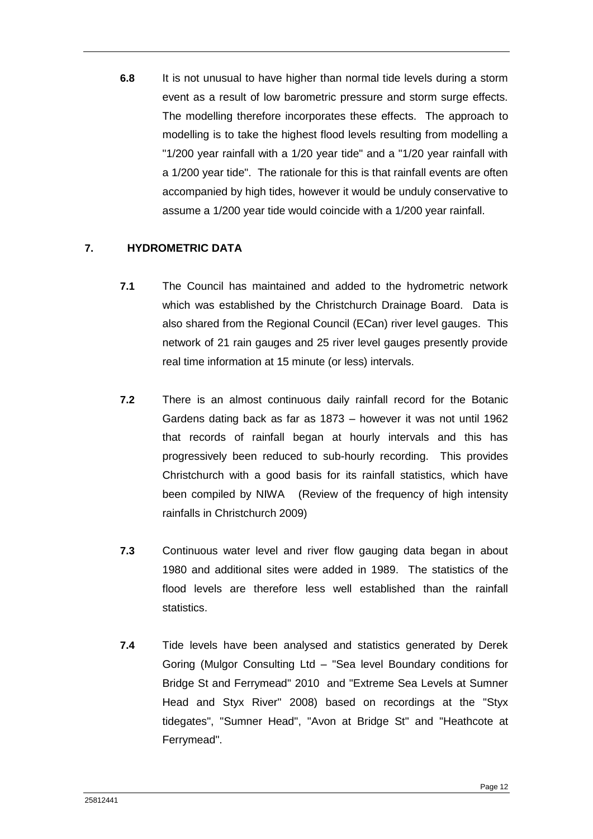**6.8** It is not unusual to have higher than normal tide levels during a storm event as a result of low barometric pressure and storm surge effects. The modelling therefore incorporates these effects. The approach to modelling is to take the highest flood levels resulting from modelling a "1/200 year rainfall with a 1/20 year tide" and a "1/20 year rainfall with a 1/200 year tide". The rationale for this is that rainfall events are often accompanied by high tides, however it would be unduly conservative to assume a 1/200 year tide would coincide with a 1/200 year rainfall.

# <span id="page-14-0"></span>**7. HYDROMETRIC DATA**

- **7.1** The Council has maintained and added to the hydrometric network which was established by the Christchurch Drainage Board. Data is also shared from the Regional Council (ECan) river level gauges. This network of 21 rain gauges and 25 river level gauges presently provide real time information at 15 minute (or less) intervals.
- **7.2** There is an almost continuous daily rainfall record for the Botanic Gardens dating back as far as 1873 – however it was not until 1962 that records of rainfall began at hourly intervals and this has progressively been reduced to sub-hourly recording. This provides Christchurch with a good basis for its rainfall statistics, which have been compiled by NIWA (Review of the frequency of high intensity rainfalls in Christchurch 2009)
- **7.3** Continuous water level and river flow gauging data began in about 1980 and additional sites were added in 1989. The statistics of the flood levels are therefore less well established than the rainfall statistics.
- **7.4** Tide levels have been analysed and statistics generated by Derek Goring (Mulgor Consulting Ltd – "Sea level Boundary conditions for Bridge St and Ferrymead" 2010 and "Extreme Sea Levels at Sumner Head and Styx River" 2008) based on recordings at the "Styx tidegates", "Sumner Head", "Avon at Bridge St" and "Heathcote at Ferrymead".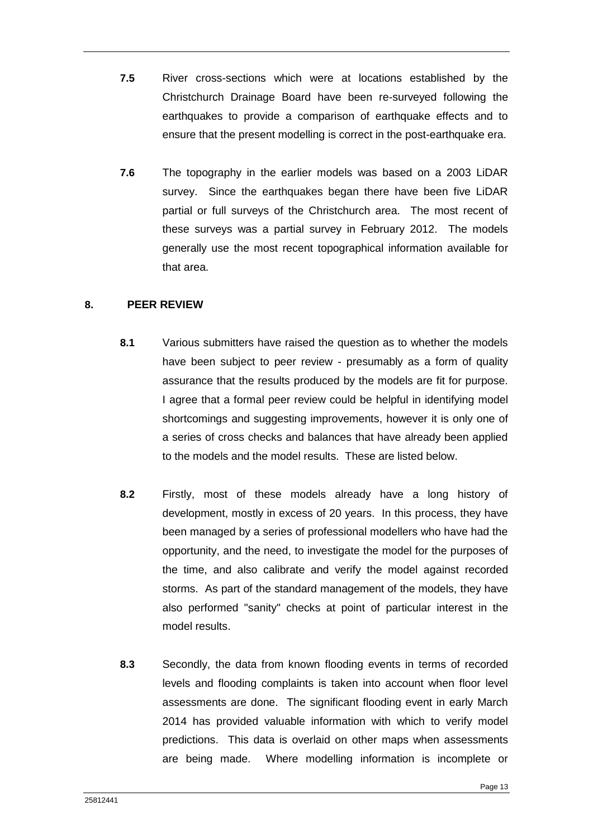- **7.5** River cross-sections which were at locations established by the Christchurch Drainage Board have been re-surveyed following the earthquakes to provide a comparison of earthquake effects and to ensure that the present modelling is correct in the post-earthquake era.
- **7.6** The topography in the earlier models was based on a 2003 LiDAR survey. Since the earthquakes began there have been five LiDAR partial or full surveys of the Christchurch area. The most recent of these surveys was a partial survey in February 2012. The models generally use the most recent topographical information available for that area.

## <span id="page-15-0"></span>**8. PEER REVIEW**

- **8.1** Various submitters have raised the question as to whether the models have been subject to peer review - presumably as a form of quality assurance that the results produced by the models are fit for purpose. I agree that a formal peer review could be helpful in identifying model shortcomings and suggesting improvements, however it is only one of a series of cross checks and balances that have already been applied to the models and the model results. These are listed below.
- **8.2** Firstly, most of these models already have a long history of development, mostly in excess of 20 years. In this process, they have been managed by a series of professional modellers who have had the opportunity, and the need, to investigate the model for the purposes of the time, and also calibrate and verify the model against recorded storms. As part of the standard management of the models, they have also performed "sanity" checks at point of particular interest in the model results.
- **8.3** Secondly, the data from known flooding events in terms of recorded levels and flooding complaints is taken into account when floor level assessments are done. The significant flooding event in early March 2014 has provided valuable information with which to verify model predictions. This data is overlaid on other maps when assessments are being made. Where modelling information is incomplete or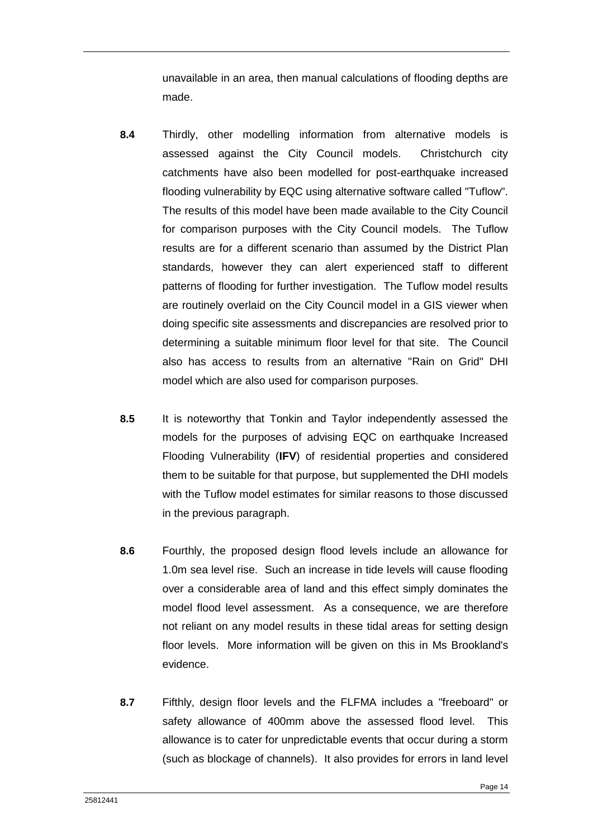unavailable in an area, then manual calculations of flooding depths are made.

- **8.4** Thirdly, other modelling information from alternative models is assessed against the City Council models. Christchurch city catchments have also been modelled for post-earthquake increased flooding vulnerability by EQC using alternative software called "Tuflow". The results of this model have been made available to the City Council for comparison purposes with the City Council models. The Tuflow results are for a different scenario than assumed by the District Plan standards, however they can alert experienced staff to different patterns of flooding for further investigation. The Tuflow model results are routinely overlaid on the City Council model in a GIS viewer when doing specific site assessments and discrepancies are resolved prior to determining a suitable minimum floor level for that site. The Council also has access to results from an alternative "Rain on Grid" DHI model which are also used for comparison purposes.
- **8.5** It is noteworthy that Tonkin and Taylor independently assessed the models for the purposes of advising EQC on earthquake Increased Flooding Vulnerability (**IFV**) of residential properties and considered them to be suitable for that purpose, but supplemented the DHI models with the Tuflow model estimates for similar reasons to those discussed in the previous paragraph.
- **8.6** Fourthly, the proposed design flood levels include an allowance for 1.0m sea level rise. Such an increase in tide levels will cause flooding over a considerable area of land and this effect simply dominates the model flood level assessment. As a consequence, we are therefore not reliant on any model results in these tidal areas for setting design floor levels. More information will be given on this in Ms Brookland's evidence.
- **8.7** Fifthly, design floor levels and the FLFMA includes a "freeboard" or safety allowance of 400mm above the assessed flood level. This allowance is to cater for unpredictable events that occur during a storm (such as blockage of channels). It also provides for errors in land level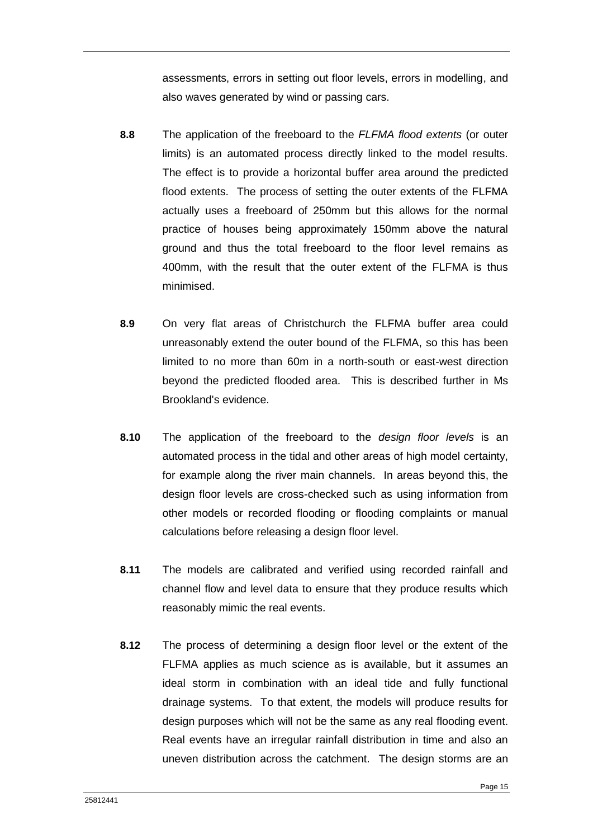assessments, errors in setting out floor levels, errors in modelling, and also waves generated by wind or passing cars.

- **8.8** The application of the freeboard to the *FLFMA flood extents* (or outer limits) is an automated process directly linked to the model results. The effect is to provide a horizontal buffer area around the predicted flood extents. The process of setting the outer extents of the FLFMA actually uses a freeboard of 250mm but this allows for the normal practice of houses being approximately 150mm above the natural ground and thus the total freeboard to the floor level remains as 400mm, with the result that the outer extent of the FLFMA is thus minimised.
- **8.9** On very flat areas of Christchurch the FLFMA buffer area could unreasonably extend the outer bound of the FLFMA, so this has been limited to no more than 60m in a north-south or east-west direction beyond the predicted flooded area. This is described further in Ms Brookland's evidence.
- **8.10** The application of the freeboard to the *design floor levels* is an automated process in the tidal and other areas of high model certainty, for example along the river main channels. In areas beyond this, the design floor levels are cross-checked such as using information from other models or recorded flooding or flooding complaints or manual calculations before releasing a design floor level.
- **8.11** The models are calibrated and verified using recorded rainfall and channel flow and level data to ensure that they produce results which reasonably mimic the real events.
- **8.12** The process of determining a design floor level or the extent of the FLFMA applies as much science as is available, but it assumes an ideal storm in combination with an ideal tide and fully functional drainage systems. To that extent, the models will produce results for design purposes which will not be the same as any real flooding event. Real events have an irregular rainfall distribution in time and also an uneven distribution across the catchment. The design storms are an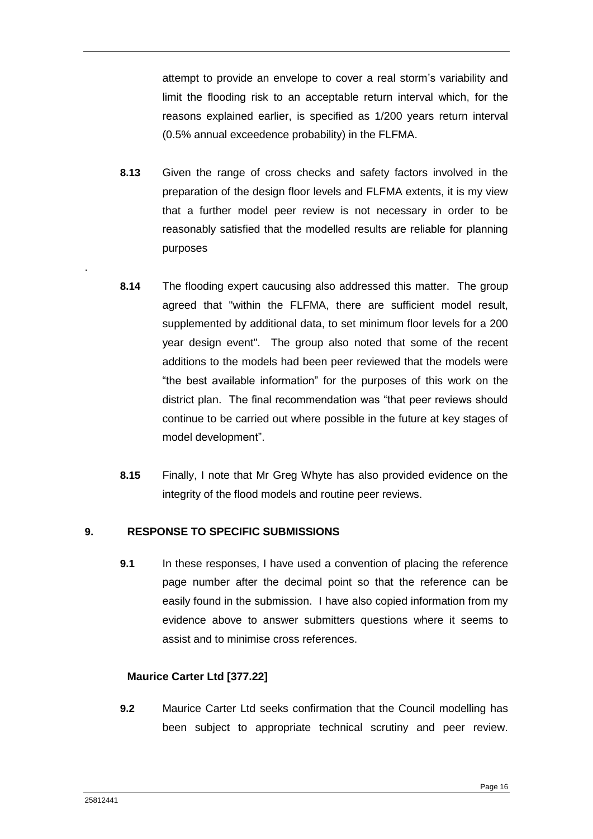attempt to provide an envelope to cover a real storm's variability and limit the flooding risk to an acceptable return interval which, for the reasons explained earlier, is specified as 1/200 years return interval (0.5% annual exceedence probability) in the FLFMA.

- **8.13** Given the range of cross checks and safety factors involved in the preparation of the design floor levels and FLFMA extents, it is my view that a further model peer review is not necessary in order to be reasonably satisfied that the modelled results are reliable for planning purposes
- **8.14** The flooding expert caucusing also addressed this matter. The group agreed that "within the FLFMA, there are sufficient model result, supplemented by additional data, to set minimum floor levels for a 200 year design event". The group also noted that some of the recent additions to the models had been peer reviewed that the models were "the best available information" for the purposes of this work on the district plan. The final recommendation was "that peer reviews should continue to be carried out where possible in the future at key stages of model development".
- **8.15** Finally, I note that Mr Greg Whyte has also provided evidence on the integrity of the flood models and routine peer reviews.

# <span id="page-18-0"></span>**9. RESPONSE TO SPECIFIC SUBMISSIONS**

**9.1** In these responses. I have used a convention of placing the reference page number after the decimal point so that the reference can be easily found in the submission. I have also copied information from my evidence above to answer submitters questions where it seems to assist and to minimise cross references.

# **Maurice Carter Ltd [377.22]**

**9.2** Maurice Carter Ltd seeks confirmation that the Council modelling has been subject to appropriate technical scrutiny and peer review.

.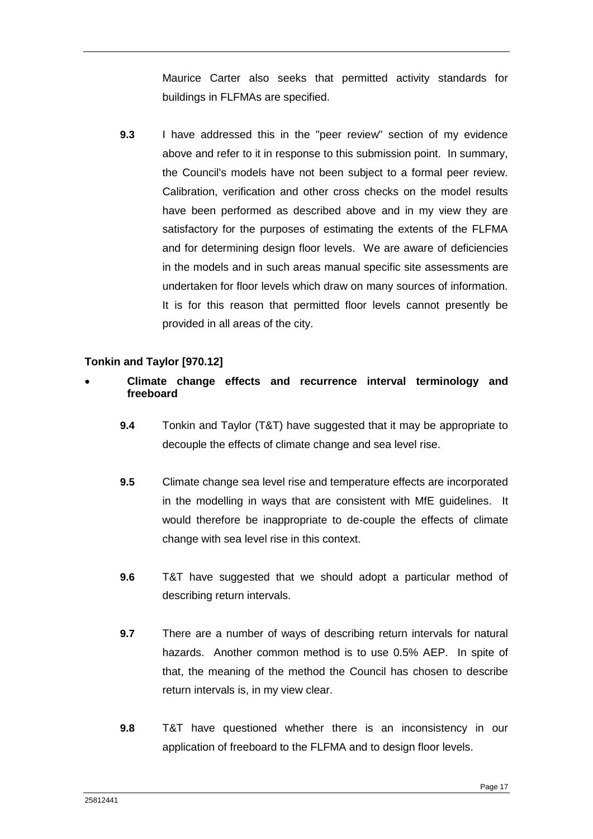Maurice Carter also seeks that permitted activity standards for buildings in FLFMAs are specified.

**9.3** I have addressed this in the "peer review" section of my evidence above and refer to it in response to this submission point. In summary, the Council's models have not been subject to a formal peer review. Calibration, verification and other cross checks on the model results have been performed as described above and in my view they are satisfactory for the purposes of estimating the extents of the FLFMA and for determining design floor levels. We are aware of deficiencies in the models and in such areas manual specific site assessments are undertaken for floor levels which draw on many sources of information. It is for this reason that permitted floor levels cannot presently be provided in all areas of the city.

# **Tonkin and Taylor [970.12]**

# **Climate change effects and recurrence interval terminology and freeboard**

- **9.4** Tonkin and Taylor (T&T) have suggested that it may be appropriate to decouple the effects of climate change and sea level rise.
- **9.5** Climate change sea level rise and temperature effects are incorporated in the modelling in ways that are consistent with MfE guidelines. It would therefore be inappropriate to de-couple the effects of climate change with sea level rise in this context.
- **9.6** T&T have suggested that we should adopt a particular method of describing return intervals.
- **9.7** There are a number of ways of describing return intervals for natural hazards. Another common method is to use 0.5% AEP. In spite of that, the meaning of the method the Council has chosen to describe return intervals is, in my view clear.
- **9.8** T&T have questioned whether there is an inconsistency in our application of freeboard to the FLFMA and to design floor levels.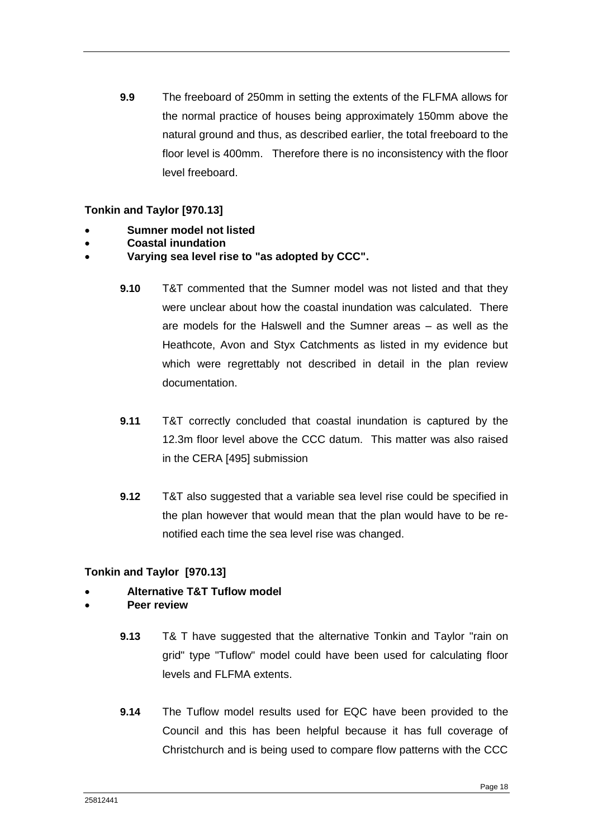**9.9** The freeboard of 250mm in setting the extents of the FLFMA allows for the normal practice of houses being approximately 150mm above the natural ground and thus, as described earlier, the total freeboard to the floor level is 400mm. Therefore there is no inconsistency with the floor level freeboard.

## **Tonkin and Taylor [970.13]**

- **Sumner model not listed**
- **Coastal inundation**
- **Varying sea level rise to "as adopted by CCC".**
	- **9.10** T&T commented that the Sumner model was not listed and that they were unclear about how the coastal inundation was calculated. There are models for the Halswell and the Sumner areas – as well as the Heathcote, Avon and Styx Catchments as listed in my evidence but which were regrettably not described in detail in the plan review documentation.
	- **9.11** T&T correctly concluded that coastal inundation is captured by the 12.3m floor level above the CCC datum. This matter was also raised in the CERA [495] submission
	- **9.12** T&T also suggested that a variable sea level rise could be specified in the plan however that would mean that the plan would have to be renotified each time the sea level rise was changed.

# **Tonkin and Taylor [970.13]**

- **Alternative T&T Tuflow model**
- **Peer review**
	- **9.13** T& T have suggested that the alternative Tonkin and Taylor "rain on grid" type "Tuflow" model could have been used for calculating floor levels and FLFMA extents.
	- **9.14** The Tuflow model results used for EQC have been provided to the Council and this has been helpful because it has full coverage of Christchurch and is being used to compare flow patterns with the CCC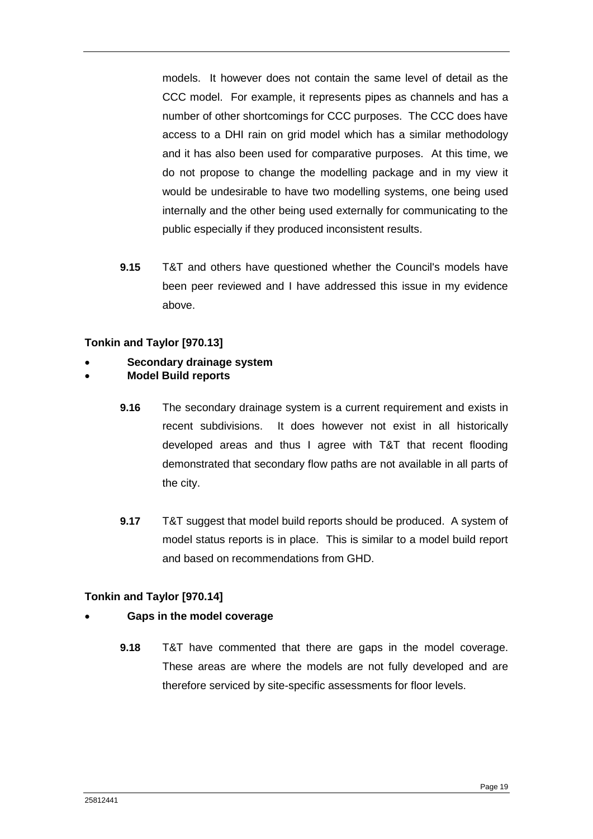models. It however does not contain the same level of detail as the CCC model. For example, it represents pipes as channels and has a number of other shortcomings for CCC purposes. The CCC does have access to a DHI rain on grid model which has a similar methodology and it has also been used for comparative purposes. At this time, we do not propose to change the modelling package and in my view it would be undesirable to have two modelling systems, one being used internally and the other being used externally for communicating to the public especially if they produced inconsistent results.

**9.15** T&T and others have questioned whether the Council's models have been peer reviewed and I have addressed this issue in my evidence above.

# **Tonkin and Taylor [970.13]**

## **Secondary drainage system**

#### **Model Build reports**

- **9.16** The secondary drainage system is a current requirement and exists in recent subdivisions. It does however not exist in all historically developed areas and thus I agree with T&T that recent flooding demonstrated that secondary flow paths are not available in all parts of the city.
- **9.17** T&T suggest that model build reports should be produced. A system of model status reports is in place. This is similar to a model build report and based on recommendations from GHD.

#### **Tonkin and Taylor [970.14]**

# **Gaps in the model coverage**

**9.18** T&T have commented that there are gaps in the model coverage. These areas are where the models are not fully developed and are therefore serviced by site-specific assessments for floor levels.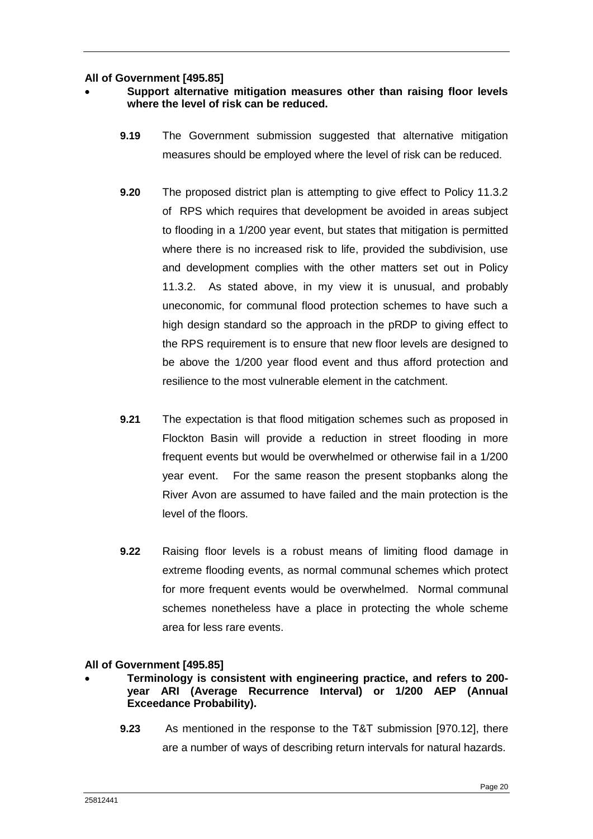**All of Government [495.85]** 

## **Support alternative mitigation measures other than raising floor levels where the level of risk can be reduced.**

- **9.19** The Government submission suggested that alternative mitigation measures should be employed where the level of risk can be reduced.
- **9.20** The proposed district plan is attempting to give effect to Policy 11.3.2 of RPS which requires that development be avoided in areas subject to flooding in a 1/200 year event, but states that mitigation is permitted where there is no increased risk to life, provided the subdivision, use and development complies with the other matters set out in Policy 11.3.2. As stated above, in my view it is unusual, and probably uneconomic, for communal flood protection schemes to have such a high design standard so the approach in the pRDP to giving effect to the RPS requirement is to ensure that new floor levels are designed to be above the 1/200 year flood event and thus afford protection and resilience to the most vulnerable element in the catchment.
- **9.21** The expectation is that flood mitigation schemes such as proposed in Flockton Basin will provide a reduction in street flooding in more frequent events but would be overwhelmed or otherwise fail in a 1/200 year event. For the same reason the present stopbanks along the River Avon are assumed to have failed and the main protection is the level of the floors.
- **9.22** Raising floor levels is a robust means of limiting flood damage in extreme flooding events, as normal communal schemes which protect for more frequent events would be overwhelmed. Normal communal schemes nonetheless have a place in protecting the whole scheme area for less rare events.

#### **All of Government [495.85]**

- **Terminology is consistent with engineering practice, and refers to 200 year ARI (Average Recurrence Interval) or 1/200 AEP (Annual Exceedance Probability).**
	- **9.23** As mentioned in the response to the T&T submission [970.12], there are a number of ways of describing return intervals for natural hazards.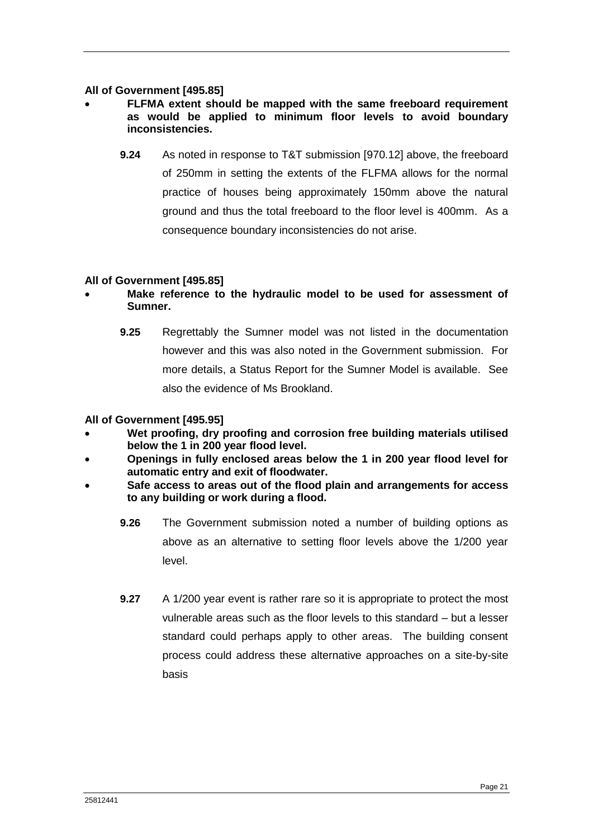#### **All of Government [495.85]**

- **FLFMA extent should be mapped with the same freeboard requirement as would be applied to minimum floor levels to avoid boundary inconsistencies.**
	- **9.24** As noted in response to T&T submission [970.12] above, the freeboard of 250mm in setting the extents of the FLFMA allows for the normal practice of houses being approximately 150mm above the natural ground and thus the total freeboard to the floor level is 400mm. As a consequence boundary inconsistencies do not arise.

#### **All of Government [495.85]**

- **Make reference to the hydraulic model to be used for assessment of Sumner.**
	- **9.25** Regrettably the Sumner model was not listed in the documentation however and this was also noted in the Government submission. For more details, a Status Report for the Sumner Model is available. See also the evidence of Ms Brookland.

#### **All of Government [495.95]**

- **Wet proofing, dry proofing and corrosion free building materials utilised below the 1 in 200 year flood level.**
- **Openings in fully enclosed areas below the 1 in 200 year flood level for automatic entry and exit of floodwater.**
- **Safe access to areas out of the flood plain and arrangements for access to any building or work during a flood.**
	- **9.26** The Government submission noted a number of building options as above as an alternative to setting floor levels above the 1/200 year level.
	- **9.27** A 1/200 year event is rather rare so it is appropriate to protect the most vulnerable areas such as the floor levels to this standard – but a lesser standard could perhaps apply to other areas. The building consent process could address these alternative approaches on a site-by-site basis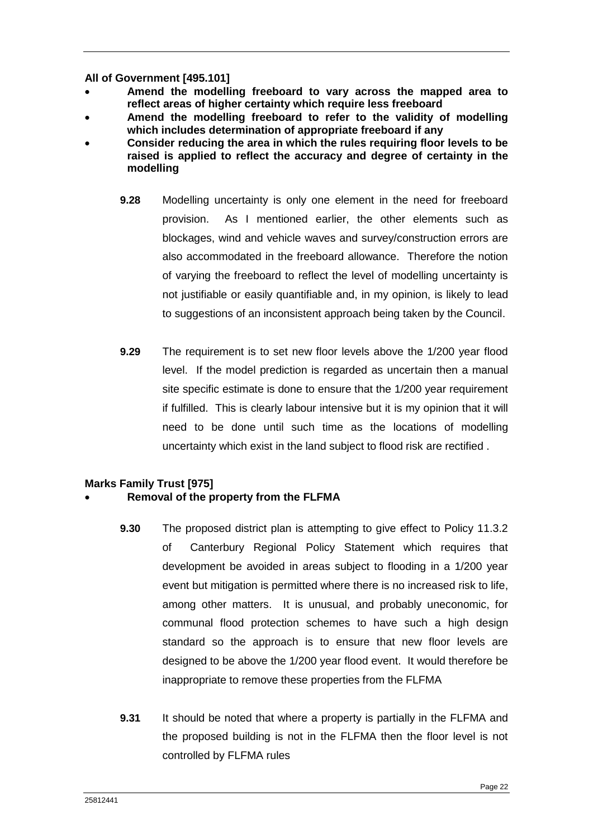**All of Government [495.101]** 

- **Amend the modelling freeboard to vary across the mapped area to reflect areas of higher certainty which require less freeboard**
- **Amend the modelling freeboard to refer to the validity of modelling which includes determination of appropriate freeboard if any**
- **Consider reducing the area in which the rules requiring floor levels to be raised is applied to reflect the accuracy and degree of certainty in the modelling**
	- **9.28** Modelling uncertainty is only one element in the need for freeboard provision. As I mentioned earlier, the other elements such as blockages, wind and vehicle waves and survey/construction errors are also accommodated in the freeboard allowance. Therefore the notion of varying the freeboard to reflect the level of modelling uncertainty is not justifiable or easily quantifiable and, in my opinion, is likely to lead to suggestions of an inconsistent approach being taken by the Council.
	- **9.29** The requirement is to set new floor levels above the 1/200 year flood level. If the model prediction is regarded as uncertain then a manual site specific estimate is done to ensure that the 1/200 year requirement if fulfilled. This is clearly labour intensive but it is my opinion that it will need to be done until such time as the locations of modelling uncertainty which exist in the land subject to flood risk are rectified .

# **Marks Family Trust [975]**

# **Removal of the property from the FLFMA**

- **9.30** The proposed district plan is attempting to give effect to Policy 11.3.2 of Canterbury Regional Policy Statement which requires that development be avoided in areas subject to flooding in a 1/200 year event but mitigation is permitted where there is no increased risk to life, among other matters. It is unusual, and probably uneconomic, for communal flood protection schemes to have such a high design standard so the approach is to ensure that new floor levels are designed to be above the 1/200 year flood event. It would therefore be inappropriate to remove these properties from the FLFMA
- **9.31** It should be noted that where a property is partially in the FLFMA and the proposed building is not in the FLFMA then the floor level is not controlled by FLFMA rules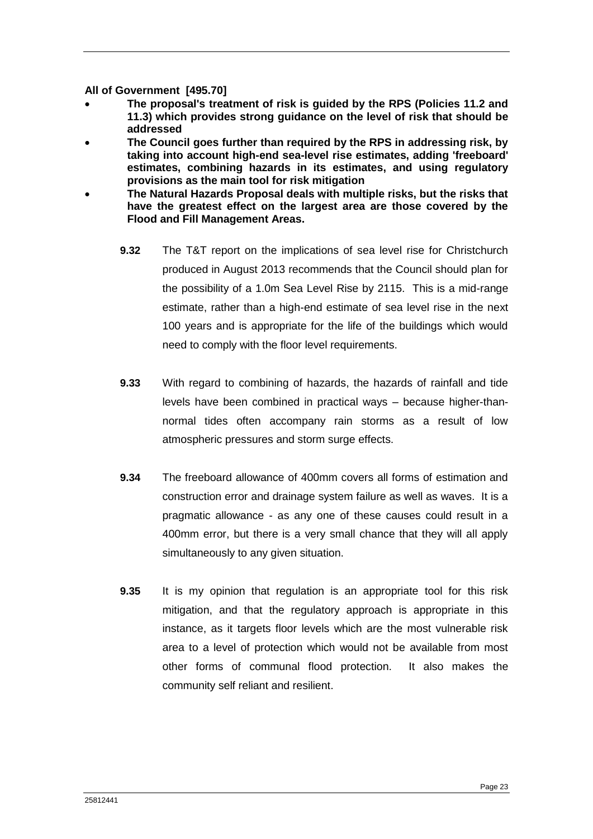**All of Government [495.70]** 

- **The proposal's treatment of risk is guided by the RPS (Policies 11.2 and 11.3) which provides strong guidance on the level of risk that should be addressed**
- **The Council goes further than required by the RPS in addressing risk, by taking into account high-end sea-level rise estimates, adding 'freeboard' estimates, combining hazards in its estimates, and using regulatory provisions as the main tool for risk mitigation**
- **The Natural Hazards Proposal deals with multiple risks, but the risks that have the greatest effect on the largest area are those covered by the Flood and Fill Management Areas.**
	- **9.32** The T&T report on the implications of sea level rise for Christchurch produced in August 2013 recommends that the Council should plan for the possibility of a 1.0m Sea Level Rise by 2115. This is a mid-range estimate, rather than a high-end estimate of sea level rise in the next 100 years and is appropriate for the life of the buildings which would need to comply with the floor level requirements.
	- **9.33** With regard to combining of hazards, the hazards of rainfall and tide levels have been combined in practical ways – because higher-thannormal tides often accompany rain storms as a result of low atmospheric pressures and storm surge effects.
	- **9.34** The freeboard allowance of 400mm covers all forms of estimation and construction error and drainage system failure as well as waves. It is a pragmatic allowance - as any one of these causes could result in a 400mm error, but there is a very small chance that they will all apply simultaneously to any given situation.
	- **9.35** It is my opinion that regulation is an appropriate tool for this risk mitigation, and that the regulatory approach is appropriate in this instance, as it targets floor levels which are the most vulnerable risk area to a level of protection which would not be available from most other forms of communal flood protection. It also makes the community self reliant and resilient.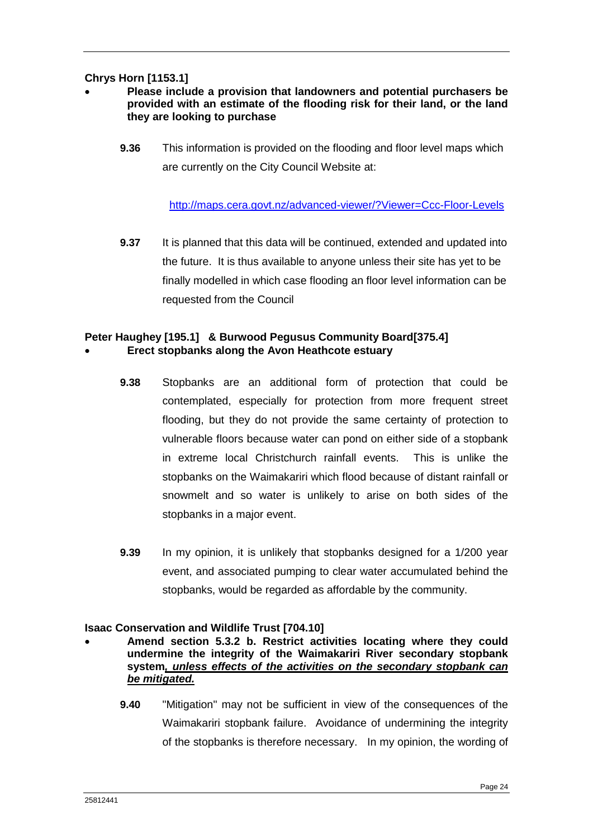# **Chrys Horn [1153.1]**

## **Please include a provision that landowners and potential purchasers be provided with an estimate of the flooding risk for their land, or the land they are looking to purchase**

**9.36** This information is provided on the flooding and floor level maps which are currently on the City Council Website at:

<http://maps.cera.govt.nz/advanced-viewer/?Viewer=Ccc-Floor-Levels>

**9.37** It is planned that this data will be continued, extended and updated into the future. It is thus available to anyone unless their site has yet to be finally modelled in which case flooding an floor level information can be requested from the Council

#### **Peter Haughey [195.1] & Burwood Pegusus Community Board[375.4] Erect stopbanks along the Avon Heathcote estuary**

- **9.38** Stopbanks are an additional form of protection that could be contemplated, especially for protection from more frequent street flooding, but they do not provide the same certainty of protection to vulnerable floors because water can pond on either side of a stopbank in extreme local Christchurch rainfall events. This is unlike the stopbanks on the Waimakariri which flood because of distant rainfall or snowmelt and so water is unlikely to arise on both sides of the stopbanks in a major event.
- **9.39** In my opinion, it is unlikely that stopbanks designed for a 1/200 year event, and associated pumping to clear water accumulated behind the stopbanks, would be regarded as affordable by the community.

#### **Isaac Conservation and Wildlife Trust [704.10]**

- **Amend section 5.3.2 b. Restrict activities locating where they could undermine the integrity of the Waimakariri River secondary stopbank system***, unless effects of the activities on the secondary stopbank can be mitigated.*
	- **9.40** "Mitigation" may not be sufficient in view of the consequences of the Waimakariri stopbank failure. Avoidance of undermining the integrity of the stopbanks is therefore necessary. In my opinion, the wording of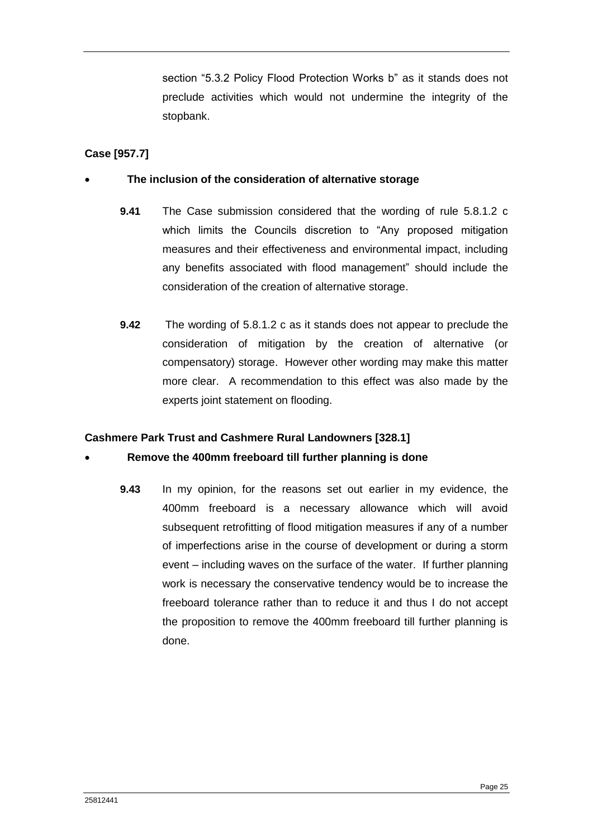section "5.3.2 Policy Flood Protection Works b" as it stands does not preclude activities which would not undermine the integrity of the stopbank.

# **Case [957.7]**

## **The inclusion of the consideration of alternative storage**

- **9.41** The Case submission considered that the wording of rule 5.8.1.2 c which limits the Councils discretion to "Any proposed mitigation measures and their effectiveness and environmental impact, including any benefits associated with flood management" should include the consideration of the creation of alternative storage.
- **9.42** The wording of 5.8.1.2 c as it stands does not appear to preclude the consideration of mitigation by the creation of alternative (or compensatory) storage. However other wording may make this matter more clear. A recommendation to this effect was also made by the experts joint statement on flooding.

# **Cashmere Park Trust and Cashmere Rural Landowners [328.1]**

# **Remove the 400mm freeboard till further planning is done**

**9.43** In my opinion, for the reasons set out earlier in my evidence, the 400mm freeboard is a necessary allowance which will avoid subsequent retrofitting of flood mitigation measures if any of a number of imperfections arise in the course of development or during a storm event – including waves on the surface of the water. If further planning work is necessary the conservative tendency would be to increase the freeboard tolerance rather than to reduce it and thus I do not accept the proposition to remove the 400mm freeboard till further planning is done.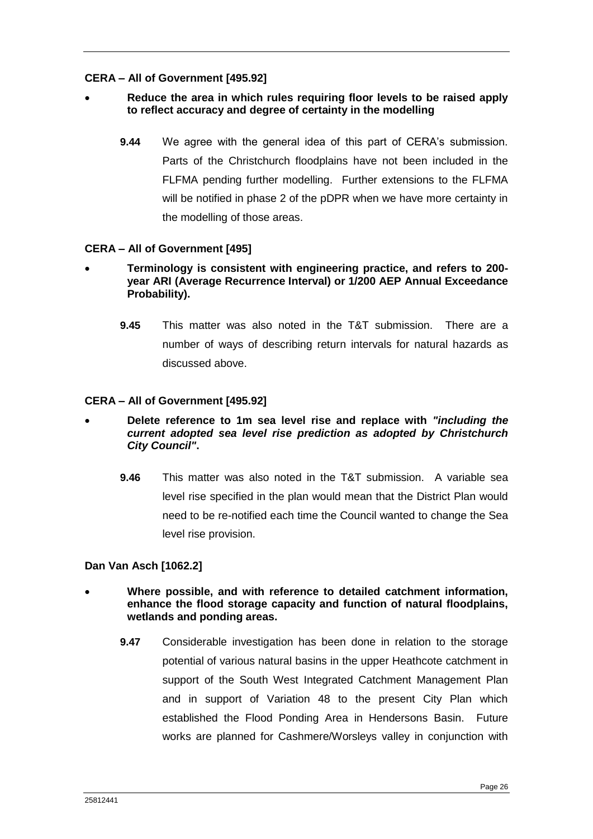## **CERA – All of Government [495.92]**

## **Reduce the area in which rules requiring floor levels to be raised apply to reflect accuracy and degree of certainty in the modelling**

**9.44** We agree with the general idea of this part of CERA's submission. Parts of the Christchurch floodplains have not been included in the FLFMA pending further modelling. Further extensions to the FLFMA will be notified in phase 2 of the pDPR when we have more certainty in the modelling of those areas.

## **CERA – All of Government [495]**

- **Terminology is consistent with engineering practice, and refers to 200 year ARI (Average Recurrence Interval) or 1/200 AEP Annual Exceedance Probability).**
	- **9.45** This matter was also noted in the T&T submission. There are a number of ways of describing return intervals for natural hazards as discussed above.

#### **CERA – All of Government [495.92]**

- **Delete reference to 1m sea level rise and replace with** *"including the current adopted sea level rise prediction as adopted by Christchurch City Council"***.**
	- **9.46** This matter was also noted in the T&T submission. A variable sea level rise specified in the plan would mean that the District Plan would need to be re-notified each time the Council wanted to change the Sea level rise provision.

#### **Dan Van Asch [1062.2]**

- **Where possible, and with reference to detailed catchment information, enhance the flood storage capacity and function of natural floodplains, wetlands and ponding areas.**
	- **9.47** Considerable investigation has been done in relation to the storage potential of various natural basins in the upper Heathcote catchment in support of the South West Integrated Catchment Management Plan and in support of Variation 48 to the present City Plan which established the Flood Ponding Area in Hendersons Basin. Future works are planned for Cashmere/Worsleys valley in conjunction with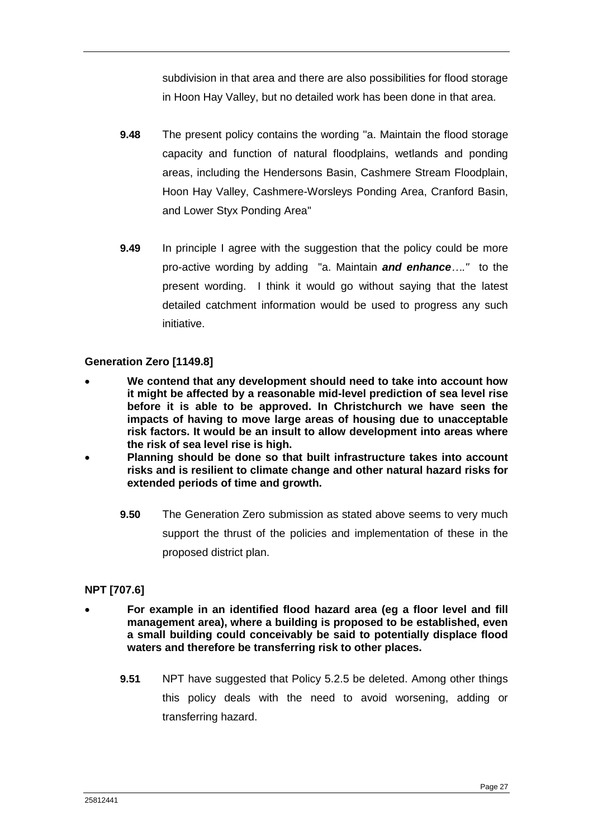subdivision in that area and there are also possibilities for flood storage in Hoon Hay Valley, but no detailed work has been done in that area.

- **9.48** The present policy contains the wording "a. Maintain the flood storage capacity and function of natural floodplains, wetlands and ponding areas, including the Hendersons Basin, Cashmere Stream Floodplain, Hoon Hay Valley, Cashmere-Worsleys Ponding Area, Cranford Basin, and Lower Styx Ponding Area"
- **9.49** In principle I agree with the suggestion that the policy could be more pro-active wording by adding "a. Maintain *and enhance…."* to the present wording. I think it would go without saying that the latest detailed catchment information would be used to progress any such initiative.

# **Generation Zero [1149.8]**

- **We contend that any development should need to take into account how it might be affected by a reasonable mid-level prediction of sea level rise before it is able to be approved. In Christchurch we have seen the impacts of having to move large areas of housing due to unacceptable risk factors. It would be an insult to allow development into areas where the risk of sea level rise is high.**
- **Planning should be done so that built infrastructure takes into account risks and is resilient to climate change and other natural hazard risks for extended periods of time and growth.**
	- **9.50** The Generation Zero submission as stated above seems to very much support the thrust of the policies and implementation of these in the proposed district plan.

# **NPT [707.6]**

- **For example in an identified flood hazard area (eg a floor level and fill management area), where a building is proposed to be established, even a small building could conceivably be said to potentially displace flood waters and therefore be transferring risk to other places.**
	- **9.51** NPT have suggested that Policy 5.2.5 be deleted. Among other things this policy deals with the need to avoid worsening, adding or transferring hazard.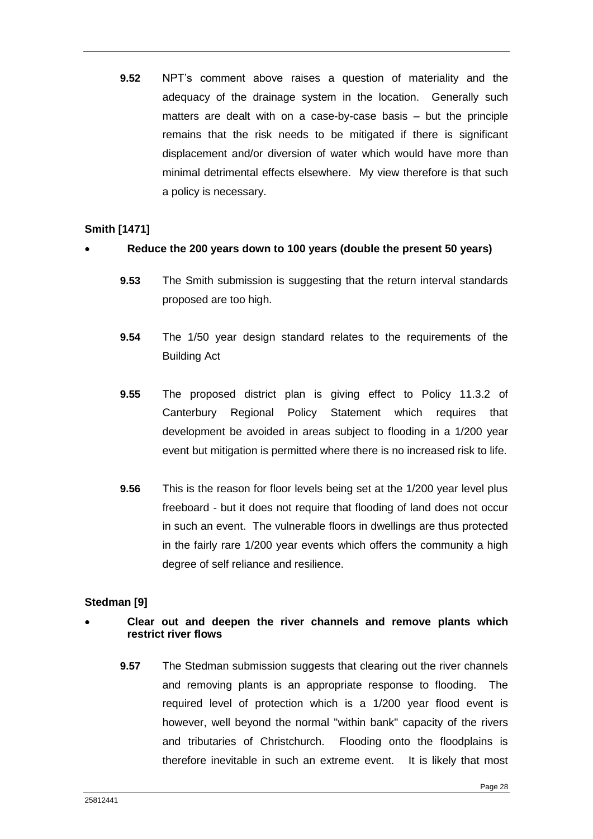**9.52** NPT's comment above raises a question of materiality and the adequacy of the drainage system in the location. Generally such matters are dealt with on a case-by-case basis – but the principle remains that the risk needs to be mitigated if there is significant displacement and/or diversion of water which would have more than minimal detrimental effects elsewhere. My view therefore is that such a policy is necessary.

## **Smith [1471]**

## **Reduce the 200 years down to 100 years (double the present 50 years)**

- **9.53** The Smith submission is suggesting that the return interval standards proposed are too high.
- **9.54** The 1/50 year design standard relates to the requirements of the Building Act
- **9.55** The proposed district plan is giving effect to Policy 11.3.2 of Canterbury Regional Policy Statement which requires that development be avoided in areas subject to flooding in a 1/200 year event but mitigation is permitted where there is no increased risk to life.
- **9.56** This is the reason for floor levels being set at the 1/200 year level plus freeboard - but it does not require that flooding of land does not occur in such an event. The vulnerable floors in dwellings are thus protected in the fairly rare 1/200 year events which offers the community a high degree of self reliance and resilience.

#### **Stedman [9]**

## **Clear out and deepen the river channels and remove plants which restrict river flows**

**9.57** The Stedman submission suggests that clearing out the river channels and removing plants is an appropriate response to flooding. The required level of protection which is a 1/200 year flood event is however, well beyond the normal "within bank" capacity of the rivers and tributaries of Christchurch. Flooding onto the floodplains is therefore inevitable in such an extreme event. It is likely that most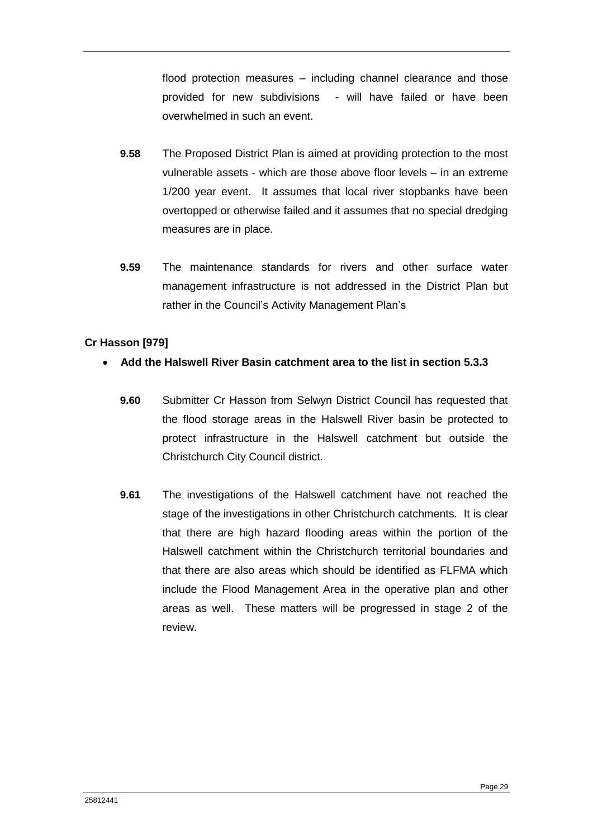flood protection measures – including channel clearance and those provided for new subdivisions - will have failed or have been overwhelmed in such an event.

- **9.58** The Proposed District Plan is aimed at providing protection to the most vulnerable assets - which are those above floor levels – in an extreme 1/200 year event. It assumes that local river stopbanks have been overtopped or otherwise failed and it assumes that no special dredging measures are in place.
- **9.59** The maintenance standards for rivers and other surface water management infrastructure is not addressed in the District Plan but rather in the Council's Activity Management Plan's

# **Cr Hasson [979]**

# **Add the Halswell River Basin catchment area to the list in section 5.3.3**

- **9.60** Submitter Cr Hasson from Selwyn District Council has requested that the flood storage areas in the Halswell River basin be protected to protect infrastructure in the Halswell catchment but outside the Christchurch City Council district.
- **9.61** The investigations of the Halswell catchment have not reached the stage of the investigations in other Christchurch catchments. It is clear that there are high hazard flooding areas within the portion of the Halswell catchment within the Christchurch territorial boundaries and that there are also areas which should be identified as FLFMA which include the Flood Management Area in the operative plan and other areas as well. These matters will be progressed in stage 2 of the review.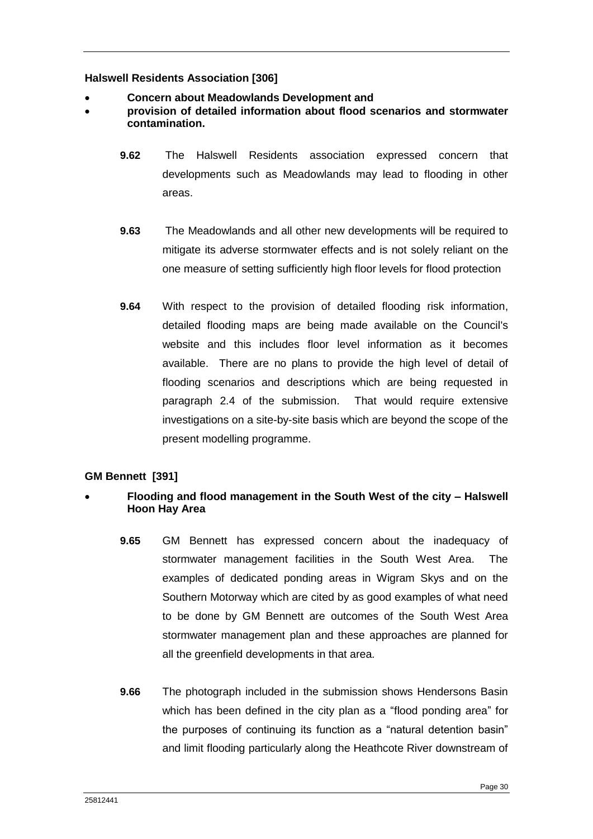## **Halswell Residents Association [306]**

- **Concern about Meadowlands Development and**
- **provision of detailed information about flood scenarios and stormwater contamination.**
	- **9.62** The Halswell Residents association expressed concern that developments such as Meadowlands may lead to flooding in other areas.
	- **9.63** The Meadowlands and all other new developments will be required to mitigate its adverse stormwater effects and is not solely reliant on the one measure of setting sufficiently high floor levels for flood protection
	- **9.64** With respect to the provision of detailed flooding risk information, detailed flooding maps are being made available on the Council's website and this includes floor level information as it becomes available. There are no plans to provide the high level of detail of flooding scenarios and descriptions which are being requested in paragraph 2.4 of the submission. That would require extensive investigations on a site-by-site basis which are beyond the scope of the present modelling programme.

# **GM Bennett [391]**

# **Flooding and flood management in the South West of the city – Halswell Hoon Hay Area**

- **9.65** GM Bennett has expressed concern about the inadequacy of stormwater management facilities in the South West Area. The examples of dedicated ponding areas in Wigram Skys and on the Southern Motorway which are cited by as good examples of what need to be done by GM Bennett are outcomes of the South West Area stormwater management plan and these approaches are planned for all the greenfield developments in that area.
- **9.66** The photograph included in the submission shows Hendersons Basin which has been defined in the city plan as a "flood ponding area" for the purposes of continuing its function as a "natural detention basin" and limit flooding particularly along the Heathcote River downstream of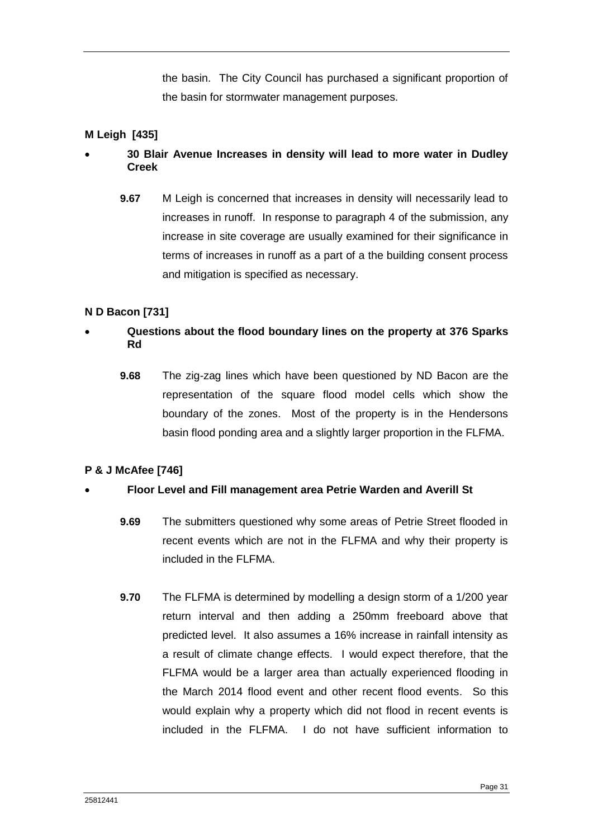the basin. The City Council has purchased a significant proportion of the basin for stormwater management purposes.

# **M Leigh [435]**

# **30 Blair Avenue Increases in density will lead to more water in Dudley Creek**

**9.67** M Leigh is concerned that increases in density will necessarily lead to increases in runoff. In response to paragraph 4 of the submission, any increase in site coverage are usually examined for their significance in terms of increases in runoff as a part of a the building consent process and mitigation is specified as necessary.

## **N D Bacon [731]**

# **Questions about the flood boundary lines on the property at 376 Sparks Rd**

**9.68** The zig-zag lines which have been questioned by ND Bacon are the representation of the square flood model cells which show the boundary of the zones. Most of the property is in the Hendersons basin flood ponding area and a slightly larger proportion in the FLFMA.

#### **P & J McAfee [746]**

#### **Floor Level and Fill management area Petrie Warden and Averill St**

- **9.69** The submitters questioned why some areas of Petrie Street flooded in recent events which are not in the FLFMA and why their property is included in the FLFMA.
- **9.70** The FLFMA is determined by modelling a design storm of a 1/200 year return interval and then adding a 250mm freeboard above that predicted level. It also assumes a 16% increase in rainfall intensity as a result of climate change effects. I would expect therefore, that the FLFMA would be a larger area than actually experienced flooding in the March 2014 flood event and other recent flood events. So this would explain why a property which did not flood in recent events is included in the FLFMA. I do not have sufficient information to